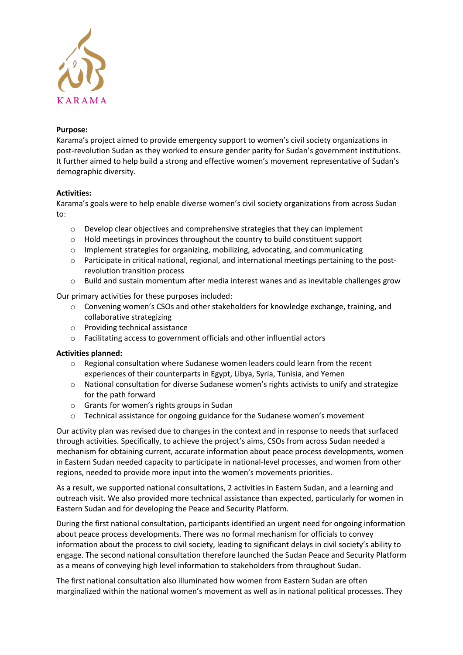

## **Purpose:**

Karama's project aimed to provide emergency support to women's civil society organizations in post-revolution Sudan as they worked to ensure gender parity for Sudan's government institutions. It further aimed to help build a strong and effective women's movement representative of Sudan's demographic diversity.

# **Activities:**

Karama's goals were to help enable diverse women's civil society organizations from across Sudan to:

- $\circ$  Develop clear objectives and comprehensive strategies that they can implement
- o Hold meetings in provinces throughout the country to build constituent support
- o Implement strategies for organizing, mobilizing, advocating, and communicating
- o Participate in critical national, regional, and international meetings pertaining to the postrevolution transition process
- o Build and sustain momentum after media interest wanes and as inevitable challenges grow

Our primary activities for these purposes included:

- o Convening women's CSOs and other stakeholders for knowledge exchange, training, and collaborative strategizing
- o Providing technical assistance
- o Facilitating access to government officials and other influential actors

### **Activities planned:**

- $\circ$  Regional consultation where Sudanese women leaders could learn from the recent experiences of their counterparts in Egypt, Libya, Syria, Tunisia, and Yemen
- o National consultation for diverse Sudanese women's rights activists to unify and strategize for the path forward
- o Grants for women's rights groups in Sudan
- o Technical assistance for ongoing guidance for the Sudanese women's movement

Our activity plan was revised due to changes in the context and in response to needs that surfaced through activities. Specifically, to achieve the project's aims, CSOs from across Sudan needed a mechanism for obtaining current, accurate information about peace process developments, women in Eastern Sudan needed capacity to participate in national-level processes, and women from other regions, needed to provide more input into the women's movements priorities.

As a result, we supported national consultations, 2 activities in Eastern Sudan, and a learning and outreach visit. We also provided more technical assistance than expected, particularly for women in Eastern Sudan and for developing the Peace and Security Platform.

During the first national consultation, participants identified an urgent need for ongoing information about peace process developments. There was no formal mechanism for officials to convey information about the process to civil society, leading to significant delays in civil society's ability to engage. The second national consultation therefore launched the Sudan Peace and Security Platform as a means of conveying high level information to stakeholders from throughout Sudan.

The first national consultation also illuminated how women from Eastern Sudan are often marginalized within the national women's movement as well as in national political processes. They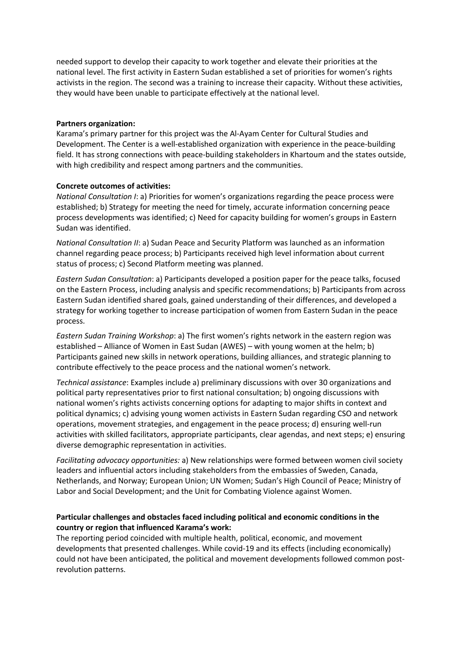needed support to develop their capacity to work together and elevate their priorities at the national level. The first activity in Eastern Sudan established a set of priorities for women's rights activists in the region. The second was a training to increase their capacity. Without these activities, they would have been unable to participate effectively at the national level.

#### **Partners organization:**

Karama's primary partner for this project was the Al-Ayam Center for Cultural Studies and Development. The Center is a well-established organization with experience in the peace-building field. It has strong connections with peace-building stakeholders in Khartoum and the states outside, with high credibility and respect among partners and the communities.

#### **Concrete outcomes of activities:**

*National Consultation I*: a) Priorities for women's organizations regarding the peace process were established; b) Strategy for meeting the need for timely, accurate information concerning peace process developments was identified; c) Need for capacity building for women's groups in Eastern Sudan was identified.

*National Consultation II*: a) Sudan Peace and Security Platform was launched as an information channel regarding peace process; b) Participants received high level information about current status of process; c) Second Platform meeting was planned.

*Eastern Sudan Consultation*: a) Participants developed a position paper for the peace talks, focused on the Eastern Process, including analysis and specific recommendations; b) Participants from across Eastern Sudan identified shared goals, gained understanding of their differences, and developed a strategy for working together to increase participation of women from Eastern Sudan in the peace process.

*Eastern Sudan Training Workshop*: a) The first women's rights network in the eastern region was established – Alliance of Women in East Sudan (AWES) – with young women at the helm; b) Participants gained new skills in network operations, building alliances, and strategic planning to contribute effectively to the peace process and the national women's network.

*Technical assistance*: Examples include a) preliminary discussions with over 30 organizations and political party representatives prior to first national consultation; b) ongoing discussions with national women's rights activists concerning options for adapting to major shifts in context and political dynamics; c) advising young women activists in Eastern Sudan regarding CSO and network operations, movement strategies, and engagement in the peace process; d) ensuring well-run activities with skilled facilitators, appropriate participants, clear agendas, and next steps; e) ensuring diverse demographic representation in activities.

*Facilitating advocacy opportunities:* a) New relationships were formed between women civil society leaders and influential actors including stakeholders from the embassies of Sweden, Canada, Netherlands, and Norway; European Union; UN Women; Sudan's High Council of Peace; Ministry of Labor and Social Development; and the Unit for Combating Violence against Women.

# **Particular challenges and obstacles faced including political and economic conditions in the country or region that influenced Karama's work:**

The reporting period coincided with multiple health, political, economic, and movement developments that presented challenges. While covid-19 and its effects (including economically) could not have been anticipated, the political and movement developments followed common postrevolution patterns.